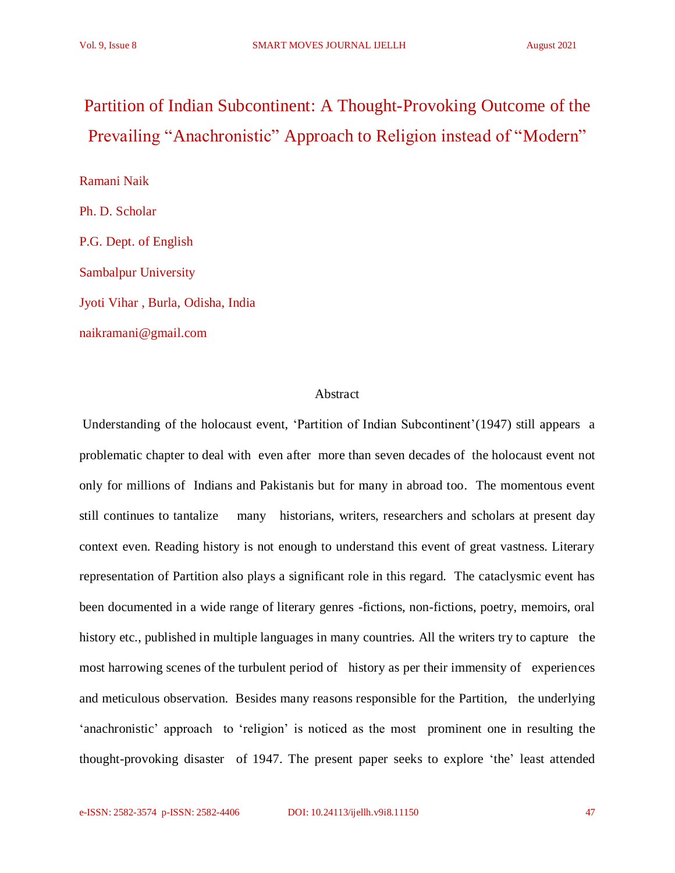# Partition of Indian Subcontinent: A Thought-Provoking Outcome of the Prevailing "Anachronistic" Approach to Religion instead of "Modern"

Ramani Naik Ph. D. Scholar P.G. Dept. of English Sambalpur University Jyoti Vihar , Burla, Odisha, India naikramani@gmail.com

# Abstract

Understanding of the holocaust event, 'Partition of Indian Subcontinent'(1947) still appears a problematic chapter to deal with even after more than seven decades of the holocaust event not only for millions of Indians and Pakistanis but for many in abroad too. The momentous event still continues to tantalize many historians, writers, researchers and scholars at present day context even. Reading history is not enough to understand this event of great vastness. Literary representation of Partition also plays a significant role in this regard. The cataclysmic event has been documented in a wide range of literary genres -fictions, non-fictions, poetry, memoirs, oral history etc., published in multiple languages in many countries. All the writers try to capture the most harrowing scenes of the turbulent period of history as per their immensity of experiences and meticulous observation. Besides many reasons responsible for the Partition, the underlying 'anachronistic' approach to 'religion' is noticed as the most prominent one in resulting the thought-provoking disaster of 1947. The present paper seeks to explore 'the' least attended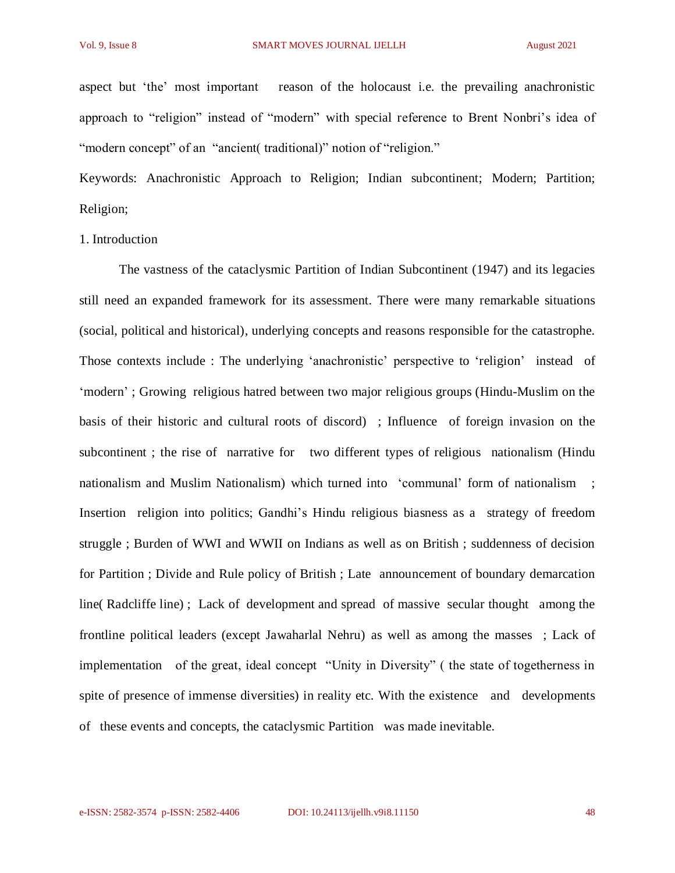aspect but 'the' most important reason of the holocaust i.e. the prevailing anachronistic approach to "religion" instead of "modern" with special reference to Brent Nonbri's idea of "modern concept" of an "ancient( traditional)" notion of "religion."

Keywords: Anachronistic Approach to Religion; Indian subcontinent; Modern; Partition; Religion;

#### 1. Introduction

The vastness of the cataclysmic Partition of Indian Subcontinent (1947) and its legacies still need an expanded framework for its assessment. There were many remarkable situations (social, political and historical), underlying concepts and reasons responsible for the catastrophe. Those contexts include : The underlying 'anachronistic' perspective to 'religion' instead of 'modern' ; Growing religious hatred between two major religious groups (Hindu-Muslim on the basis of their historic and cultural roots of discord) ; Influence of foreign invasion on the subcontinent ; the rise of narrative for two different types of religious nationalism (Hindu nationalism and Muslim Nationalism) which turned into 'communal' form of nationalism ; Insertion religion into politics; Gandhi's Hindu religious biasness as a strategy of freedom struggle ; Burden of WWI and WWII on Indians as well as on British ; suddenness of decision for Partition ; Divide and Rule policy of British ; Late announcement of boundary demarcation line( Radcliffe line) ; Lack of development and spread of massive secular thought among the frontline political leaders (except Jawaharlal Nehru) as well as among the masses ; Lack of implementation of the great, ideal concept "Unity in Diversity" ( the state of togetherness in spite of presence of immense diversities) in reality etc. With the existence and developments of these events and concepts, the cataclysmic Partition was made inevitable.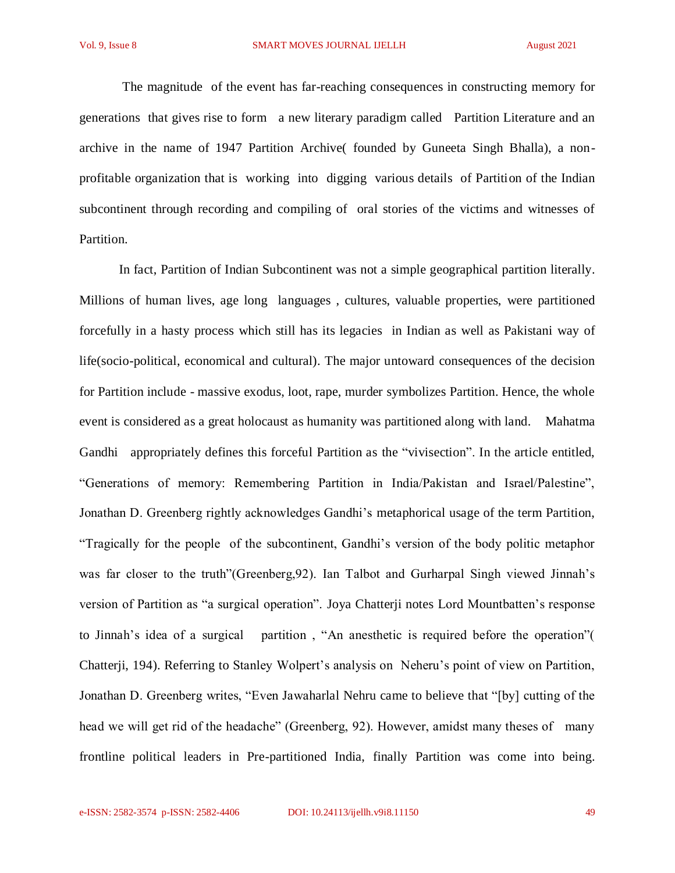The magnitude of the event has far-reaching consequences in constructing memory for generations that gives rise to form a new literary paradigm called Partition Literature and an archive in the name of 1947 Partition Archive( founded by Guneeta Singh Bhalla), a nonprofitable organization that is working into digging various details of Partition of the Indian subcontinent through recording and compiling of oral stories of the victims and witnesses of Partition.

In fact, Partition of Indian Subcontinent was not a simple geographical partition literally. Millions of human lives, age long languages , cultures, valuable properties, were partitioned forcefully in a hasty process which still has its legacies in Indian as well as Pakistani way of life(socio-political, economical and cultural). The major untoward consequences of the decision for Partition include - massive exodus, loot, rape, murder symbolizes Partition. Hence, the whole event is considered as a great holocaust as humanity was partitioned along with land. Mahatma Gandhi appropriately defines this forceful Partition as the "vivisection". In the article entitled, "Generations of memory: Remembering Partition in India/Pakistan and Israel/Palestine", Jonathan D. Greenberg rightly acknowledges Gandhi's metaphorical usage of the term Partition, "Tragically for the people of the subcontinent, Gandhi's version of the body politic metaphor was far closer to the truth"(Greenberg,92). Ian Talbot and Gurharpal Singh viewed Jinnah's version of Partition as "a surgical operation". Joya Chatterji notes Lord Mountbatten's response to Jinnah's idea of a surgical partition , "An anesthetic is required before the operation"( Chatterji, 194). Referring to Stanley Wolpert's analysis on Neheru's point of view on Partition, Jonathan D. Greenberg writes, "Even Jawaharlal Nehru came to believe that "[by] cutting of the head we will get rid of the headache" (Greenberg, 92). However, amidst many theses of many frontline political leaders in Pre-partitioned India, finally Partition was come into being.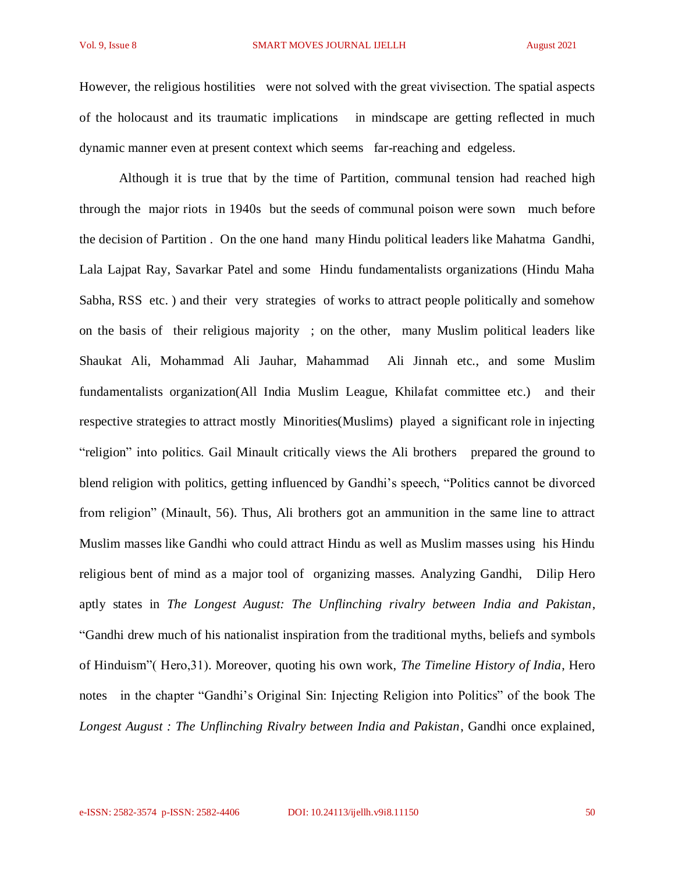However, the religious hostilities were not solved with the great vivisection. The spatial aspects of the holocaust and its traumatic implications in mindscape are getting reflected in much dynamic manner even at present context which seems far-reaching and edgeless.

Although it is true that by the time of Partition, communal tension had reached high through the major riots in 1940s but the seeds of communal poison were sown much before the decision of Partition . On the one hand many Hindu political leaders like Mahatma Gandhi, Lala Lajpat Ray, Savarkar Patel and some Hindu fundamentalists organizations (Hindu Maha Sabha, RSS etc. ) and their very strategies of works to attract people politically and somehow on the basis of their religious majority ; on the other, many Muslim political leaders like Shaukat Ali, Mohammad Ali Jauhar, Mahammad Ali Jinnah etc., and some Muslim fundamentalists organization(All India Muslim League, Khilafat committee etc.) and their respective strategies to attract mostly Minorities(Muslims) played a significant role in injecting "religion" into politics. Gail Minault critically views the Ali brothers prepared the ground to blend religion with politics, getting influenced by Gandhi's speech, "Politics cannot be divorced from religion" (Minault, 56). Thus, Ali brothers got an ammunition in the same line to attract Muslim masses like Gandhi who could attract Hindu as well as Muslim masses using his Hindu religious bent of mind as a major tool of organizing masses. Analyzing Gandhi, Dilip Hero aptly states in *The Longest August: The Unflinching rivalry between India and Pakistan*, "Gandhi drew much of his nationalist inspiration from the traditional myths, beliefs and symbols of Hinduism"( Hero,31). Moreover, quoting his own work, *The Timeline History of India*, Hero notes in the chapter "Gandhi's Original Sin: Injecting Religion into Politics" of the book The *Longest August : The Unflinching Rivalry between India and Pakistan*, Gandhi once explained,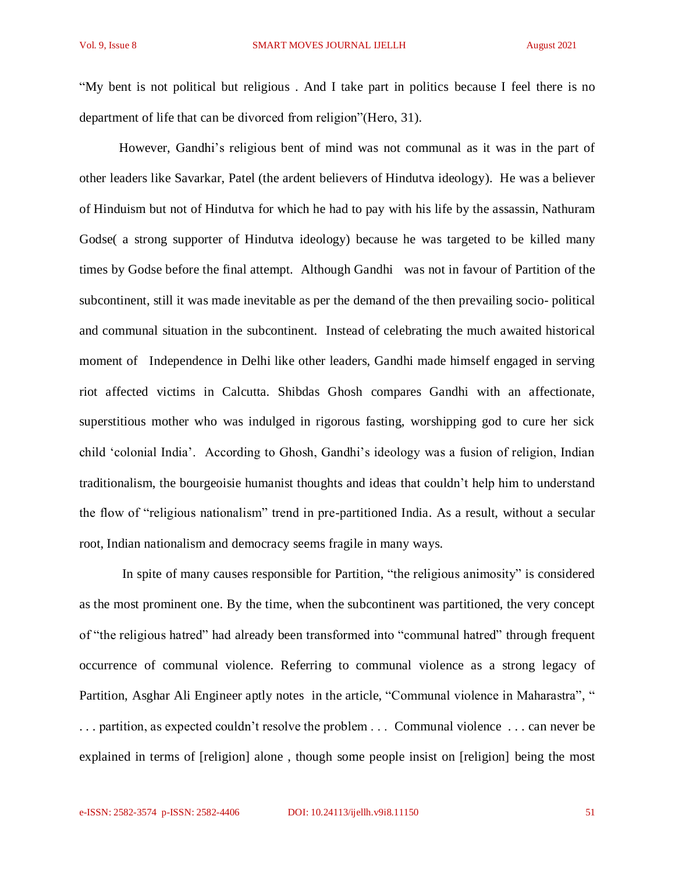"My bent is not political but religious . And I take part in politics because I feel there is no department of life that can be divorced from religion"(Hero, 31).

However, Gandhi's religious bent of mind was not communal as it was in the part of other leaders like Savarkar, Patel (the ardent believers of Hindutva ideology). He was a believer of Hinduism but not of Hindutva for which he had to pay with his life by the assassin, Nathuram Godse( a strong supporter of Hindutva ideology) because he was targeted to be killed many times by Godse before the final attempt. Although Gandhi was not in favour of Partition of the subcontinent, still it was made inevitable as per the demand of the then prevailing socio- political and communal situation in the subcontinent. Instead of celebrating the much awaited historical moment of Independence in Delhi like other leaders, Gandhi made himself engaged in serving riot affected victims in Calcutta. Shibdas Ghosh compares Gandhi with an affectionate, superstitious mother who was indulged in rigorous fasting, worshipping god to cure her sick child 'colonial India'. According to Ghosh, Gandhi's ideology was a fusion of religion, Indian traditionalism, the bourgeoisie humanist thoughts and ideas that couldn't help him to understand the flow of "religious nationalism" trend in pre-partitioned India. As a result, without a secular root, Indian nationalism and democracy seems fragile in many ways.

In spite of many causes responsible for Partition, "the religious animosity" is considered as the most prominent one. By the time, when the subcontinent was partitioned, the very concept of "the religious hatred" had already been transformed into "communal hatred" through frequent occurrence of communal violence. Referring to communal violence as a strong legacy of Partition, Asghar Ali Engineer aptly notes in the article, "Communal violence in Maharastra", " . . . partition, as expected couldn't resolve the problem . . . Communal violence . . . can never be explained in terms of [religion] alone , though some people insist on [religion] being the most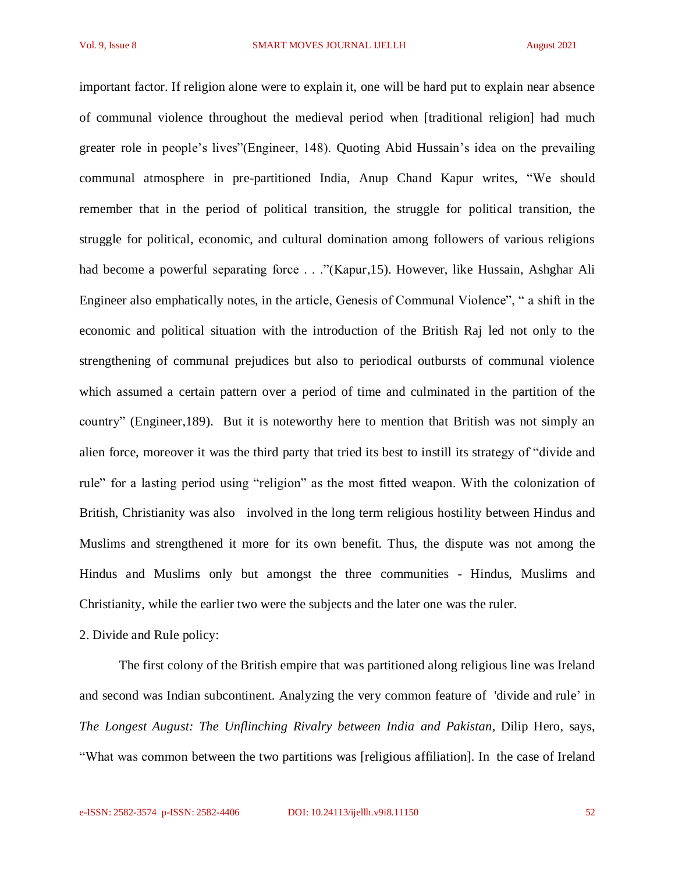important factor. If religion alone were to explain it, one will be hard put to explain near absence of communal violence throughout the medieval period when [traditional religion] had much greater role in people's lives"(Engineer, 148). Quoting Abid Hussain's idea on the prevailing communal atmosphere in pre-partitioned India, Anup Chand Kapur writes, "We should remember that in the period of political transition, the struggle for political transition, the struggle for political, economic, and cultural domination among followers of various religions had become a powerful separating force ..."(Kapur,15). However, like Hussain, Ashghar Ali Engineer also emphatically notes, in the article, Genesis of Communal Violence", " a shift in the economic and political situation with the introduction of the British Raj led not only to the strengthening of communal prejudices but also to periodical outbursts of communal violence which assumed a certain pattern over a period of time and culminated in the partition of the country" (Engineer,189). But it is noteworthy here to mention that British was not simply an alien force, moreover it was the third party that tried its best to instill its strategy of "divide and rule" for a lasting period using "religion" as the most fitted weapon. With the colonization of British, Christianity was also involved in the long term religious hostility between Hindus and Muslims and strengthened it more for its own benefit. Thus, the dispute was not among the Hindus and Muslims only but amongst the three communities - Hindus, Muslims and Christianity, while the earlier two were the subjects and the later one was the ruler.

2. Divide and Rule policy:

The first colony of the British empire that was partitioned along religious line was Ireland and second was Indian subcontinent. Analyzing the very common feature of 'divide and rule' in *The Longest August: The Unflinching Rivalry between India and Pakistan, Dilip Hero, says,* "What was common between the two partitions was [religious affiliation]. In the case of Ireland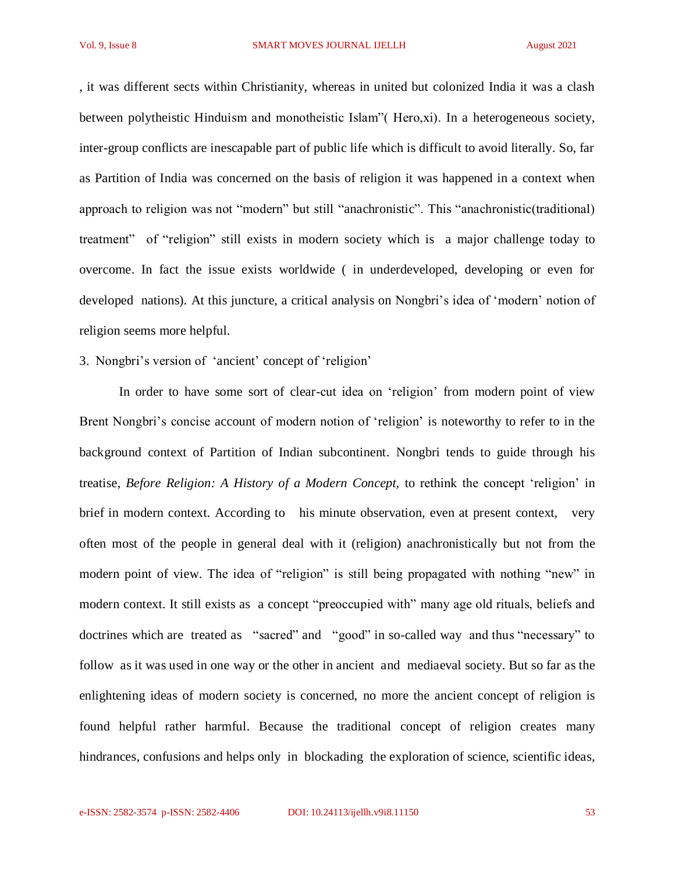, it was different sects within Christianity, whereas in united but colonized India it was a clash between polytheistic Hinduism and monotheistic Islam"( Hero,xi). In a heterogeneous society, inter-group conflicts are inescapable part of public life which is difficult to avoid literally. So, far as Partition of India was concerned on the basis of religion it was happened in a context when approach to religion was not "modern" but still "anachronistic". This "anachronistic(traditional) treatment" of "religion" still exists in modern society which is a major challenge today to overcome. In fact the issue exists worldwide ( in underdeveloped, developing or even for developed nations). At this juncture, a critical analysis on Nongbri's idea of 'modern' notion of religion seems more helpful.

### 3. Nongbri's version of 'ancient' concept of 'religion'

In order to have some sort of clear-cut idea on 'religion' from modern point of view Brent Nongbri's concise account of modern notion of 'religion' is noteworthy to refer to in the background context of Partition of Indian subcontinent. Nongbri tends to guide through his treatise, *Before Religion: A History of a Modern Concept,* to rethink the concept 'religion' in brief in modern context. According to his minute observation, even at present context, very often most of the people in general deal with it (religion) anachronistically but not from the modern point of view. The idea of "religion" is still being propagated with nothing "new" in modern context. It still exists as a concept "preoccupied with" many age old rituals, beliefs and doctrines which are treated as "sacred" and "good" in so-called way and thus "necessary" to follow as it was used in one way or the other in ancient and mediaeval society. But so far as the enlightening ideas of modern society is concerned, no more the ancient concept of religion is found helpful rather harmful. Because the traditional concept of religion creates many hindrances, confusions and helps only in blockading the exploration of science, scientific ideas,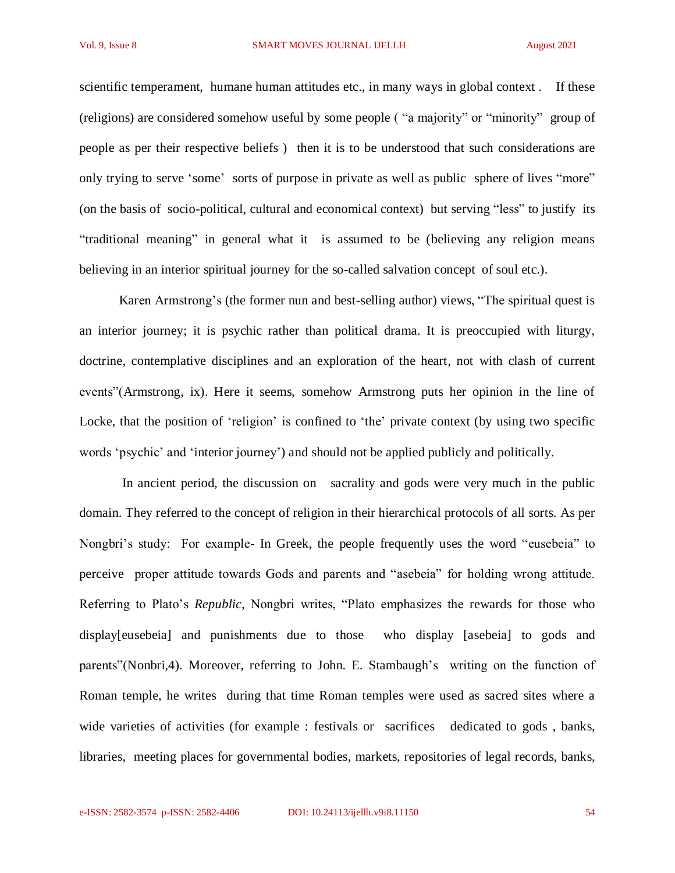scientific temperament, humane human attitudes etc., in many ways in global context . If these (religions) are considered somehow useful by some people ( "a majority" or "minority" group of people as per their respective beliefs ) then it is to be understood that such considerations are only trying to serve 'some' sorts of purpose in private as well as public sphere of lives "more" (on the basis of socio-political, cultural and economical context) but serving "less" to justify its "traditional meaning" in general what it is assumed to be (believing any religion means believing in an interior spiritual journey for the so-called salvation concept of soul etc.).

Karen Armstrong's (the former nun and best-selling author) views, "The spiritual quest is an interior journey; it is psychic rather than political drama. It is preoccupied with liturgy, doctrine, contemplative disciplines and an exploration of the heart, not with clash of current events"(Armstrong, ix). Here it seems, somehow Armstrong puts her opinion in the line of Locke, that the position of 'religion' is confined to 'the' private context (by using two specific words 'psychic' and 'interior journey') and should not be applied publicly and politically.

In ancient period, the discussion on sacrality and gods were very much in the public domain. They referred to the concept of religion in their hierarchical protocols of all sorts. As per Nongbri's study: For example- In Greek, the people frequently uses the word "eusebeia" to perceive proper attitude towards Gods and parents and "asebeia" for holding wrong attitude. Referring to Plato's *Republic*, Nongbri writes, "Plato emphasizes the rewards for those who display[eusebeia] and punishments due to those who display [asebeia] to gods and parents"(Nonbri,4). Moreover, referring to John. E. Stambaugh's writing on the function of Roman temple, he writes during that time Roman temples were used as sacred sites where a wide varieties of activities (for example : festivals or sacrifices dedicated to gods , banks, libraries, meeting places for governmental bodies, markets, repositories of legal records, banks,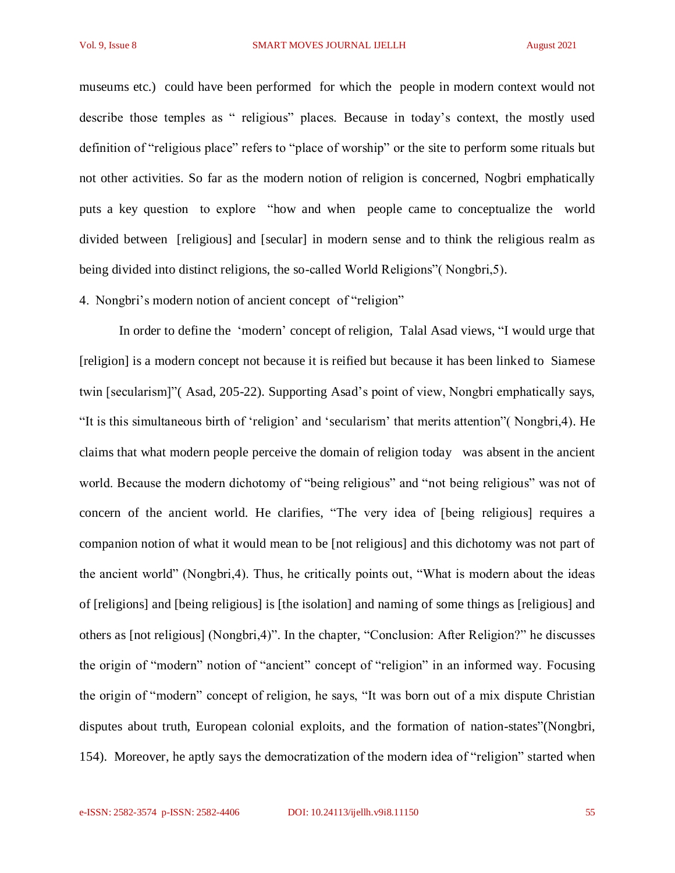museums etc.) could have been performed for which the people in modern context would not describe those temples as " religious" places. Because in today's context, the mostly used definition of "religious place" refers to "place of worship" or the site to perform some rituals but not other activities. So far as the modern notion of religion is concerned, Nogbri emphatically puts a key question to explore "how and when people came to conceptualize the world divided between [religious] and [secular] in modern sense and to think the religious realm as being divided into distinct religions, the so-called World Religions"( Nongbri,5).

#### 4. Nongbri's modern notion of ancient concept of "religion"

In order to define the 'modern' concept of religion, Talal Asad views, "I would urge that [religion] is a modern concept not because it is reified but because it has been linked to Siamese twin [secularism]"( Asad, 205-22). Supporting Asad's point of view, Nongbri emphatically says, "It is this simultaneous birth of 'religion' and 'secularism' that merits attention"( Nongbri,4). He claims that what modern people perceive the domain of religion today was absent in the ancient world. Because the modern dichotomy of "being religious" and "not being religious" was not of concern of the ancient world. He clarifies, "The very idea of [being religious] requires a companion notion of what it would mean to be [not religious] and this dichotomy was not part of the ancient world" (Nongbri,4). Thus, he critically points out, "What is modern about the ideas of [religions] and [being religious] is [the isolation] and naming of some things as [religious] and others as [not religious] (Nongbri,4)". In the chapter, "Conclusion: After Religion?" he discusses the origin of "modern" notion of "ancient" concept of "religion" in an informed way. Focusing the origin of "modern" concept of religion, he says, "It was born out of a mix dispute Christian disputes about truth, European colonial exploits, and the formation of nation-states"(Nongbri, 154). Moreover, he aptly says the democratization of the modern idea of "religion" started when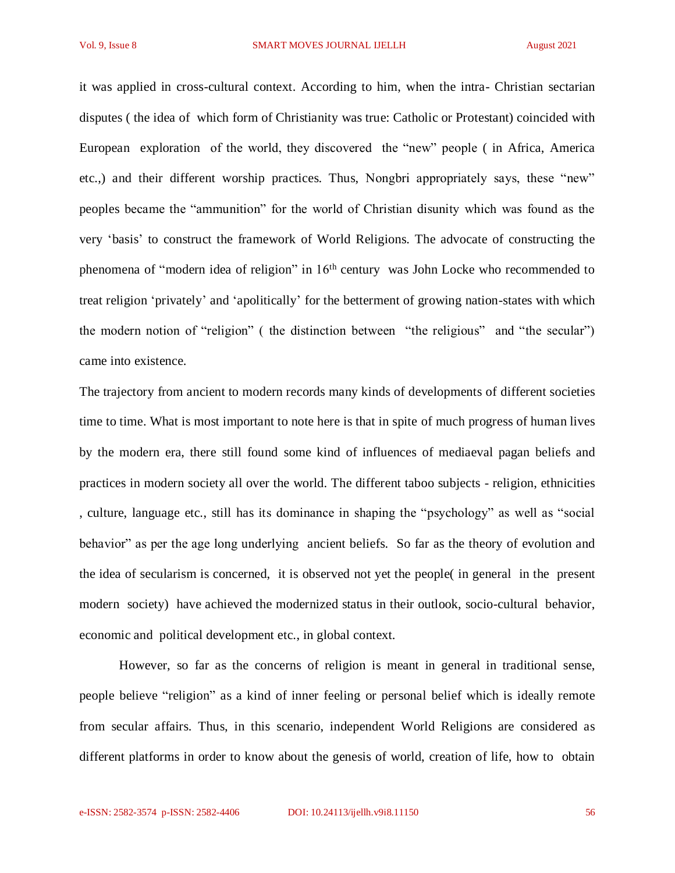it was applied in cross-cultural context. According to him, when the intra- Christian sectarian disputes ( the idea of which form of Christianity was true: Catholic or Protestant) coincided with European exploration of the world, they discovered the "new" people ( in Africa, America etc.,) and their different worship practices. Thus, Nongbri appropriately says, these "new" peoples became the "ammunition" for the world of Christian disunity which was found as the very 'basis' to construct the framework of World Religions. The advocate of constructing the phenomena of "modern idea of religion" in 16th century was John Locke who recommended to treat religion 'privately' and 'apolitically' for the betterment of growing nation-states with which the modern notion of "religion" ( the distinction between "the religious" and "the secular") came into existence.

The trajectory from ancient to modern records many kinds of developments of different societies time to time. What is most important to note here is that in spite of much progress of human lives by the modern era, there still found some kind of influences of mediaeval pagan beliefs and practices in modern society all over the world. The different taboo subjects - religion, ethnicities , culture, language etc., still has its dominance in shaping the "psychology" as well as "social behavior" as per the age long underlying ancient beliefs. So far as the theory of evolution and the idea of secularism is concerned, it is observed not yet the people( in general in the present modern society) have achieved the modernized status in their outlook, socio-cultural behavior, economic and political development etc., in global context.

However, so far as the concerns of religion is meant in general in traditional sense, people believe "religion" as a kind of inner feeling or personal belief which is ideally remote from secular affairs. Thus, in this scenario, independent World Religions are considered as different platforms in order to know about the genesis of world, creation of life, how to obtain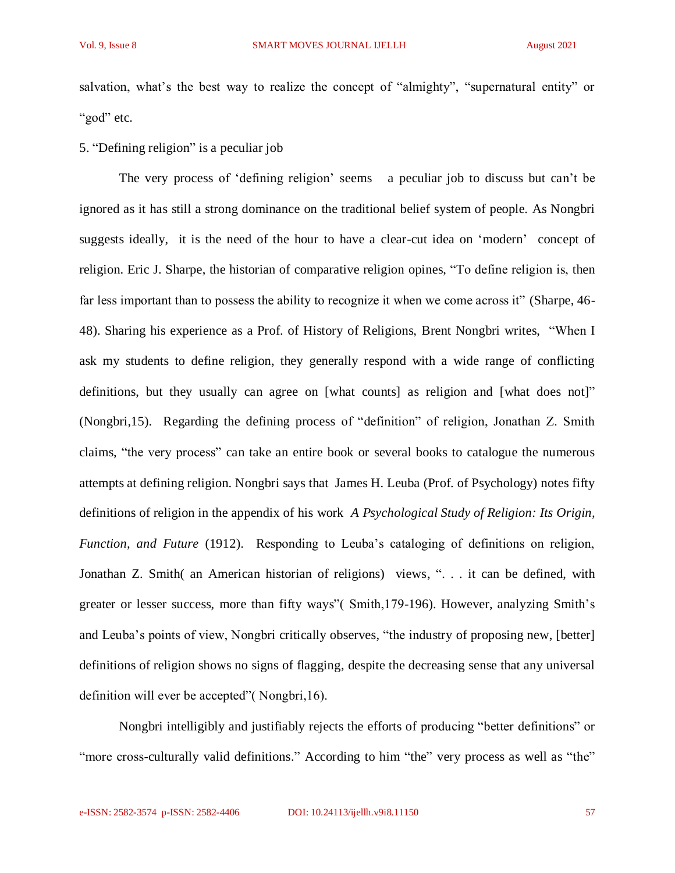salvation, what's the best way to realize the concept of "almighty", "supernatural entity" or "god" etc.

# 5. "Defining religion" is a peculiar job

The very process of 'defining religion' seems a peculiar job to discuss but can't be ignored as it has still a strong dominance on the traditional belief system of people. As Nongbri suggests ideally, it is the need of the hour to have a clear-cut idea on 'modern' concept of religion. Eric J. Sharpe, the historian of comparative religion opines, "To define religion is, then far less important than to possess the ability to recognize it when we come across it" (Sharpe, 46-48). Sharing his experience as a Prof. of History of Religions, Brent Nongbri writes, "When I ask my students to define religion, they generally respond with a wide range of conflicting definitions, but they usually can agree on [what counts] as religion and [what does not]" (Nongbri,15). Regarding the defining process of "definition" of religion, Jonathan Z. Smith claims, "the very process" can take an entire book or several books to catalogue the numerous attempts at defining religion. Nongbri says that James H. Leuba (Prof. of Psychology) notes fifty definitions of religion in the appendix of his work *A Psychological Study of Religion: Its Origin, Function, and Future* (1912). Responding to Leuba's cataloging of definitions on religion, Jonathan Z. Smith( an American historian of religions) views, ". . . it can be defined, with greater or lesser success, more than fifty ways"( Smith,179-196). However, analyzing Smith's and Leuba's points of view, Nongbri critically observes, "the industry of proposing new, [better] definitions of religion shows no signs of flagging, despite the decreasing sense that any universal definition will ever be accepted"( Nongbri,16).

Nongbri intelligibly and justifiably rejects the efforts of producing "better definitions" or "more cross-culturally valid definitions." According to him "the" very process as well as "the"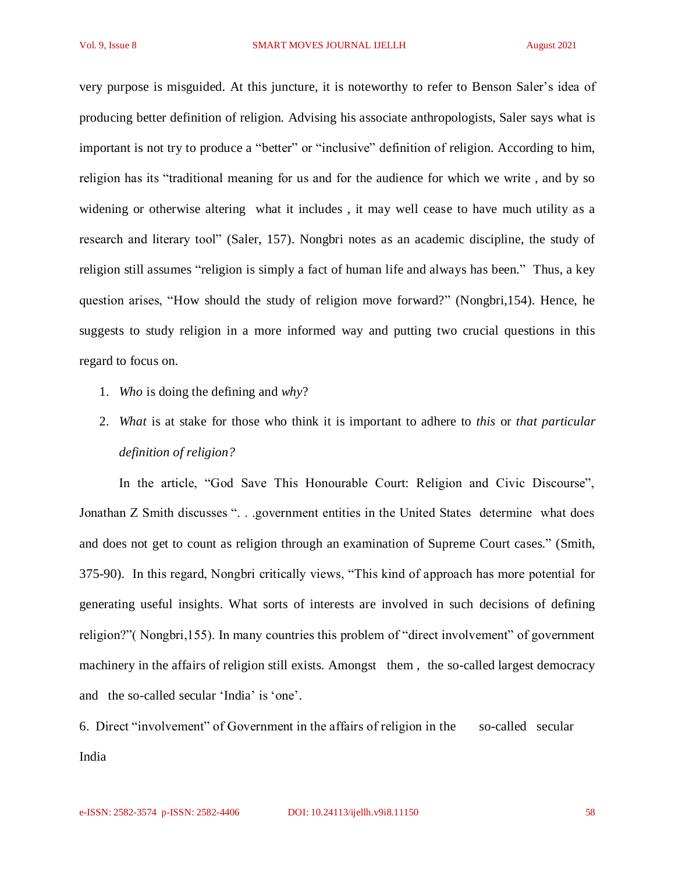very purpose is misguided. At this juncture, it is noteworthy to refer to Benson Saler's idea of producing better definition of religion. Advising his associate anthropologists, Saler says what is important is not try to produce a "better" or "inclusive" definition of religion. According to him, religion has its "traditional meaning for us and for the audience for which we write , and by so widening or otherwise altering what it includes , it may well cease to have much utility as a research and literary tool" (Saler, 157). Nongbri notes as an academic discipline, the study of religion still assumes "religion is simply a fact of human life and always has been." Thus, a key question arises, "How should the study of religion move forward?" (Nongbri,154). Hence, he suggests to study religion in a more informed way and putting two crucial questions in this regard to focus on.

- 1. *Who* is doing the defining and *why*?
- 2. *What* is at stake for those who think it is important to adhere to *this* or *that particular definition of religion?*

In the article, "God Save This Honourable Court: Religion and Civic Discourse", Jonathan Z Smith discusses ". . .government entities in the United States determine what does and does not get to count as religion through an examination of Supreme Court cases." (Smith, 375-90). In this regard, Nongbri critically views, "This kind of approach has more potential for generating useful insights. What sorts of interests are involved in such decisions of defining religion?"( Nongbri,155). In many countries this problem of "direct involvement" of government machinery in the affairs of religion still exists. Amongst them , the so-called largest democracy and the so-called secular 'India' is 'one'.

6. Direct "involvement" of Government in the affairs of religion in the so-called secular India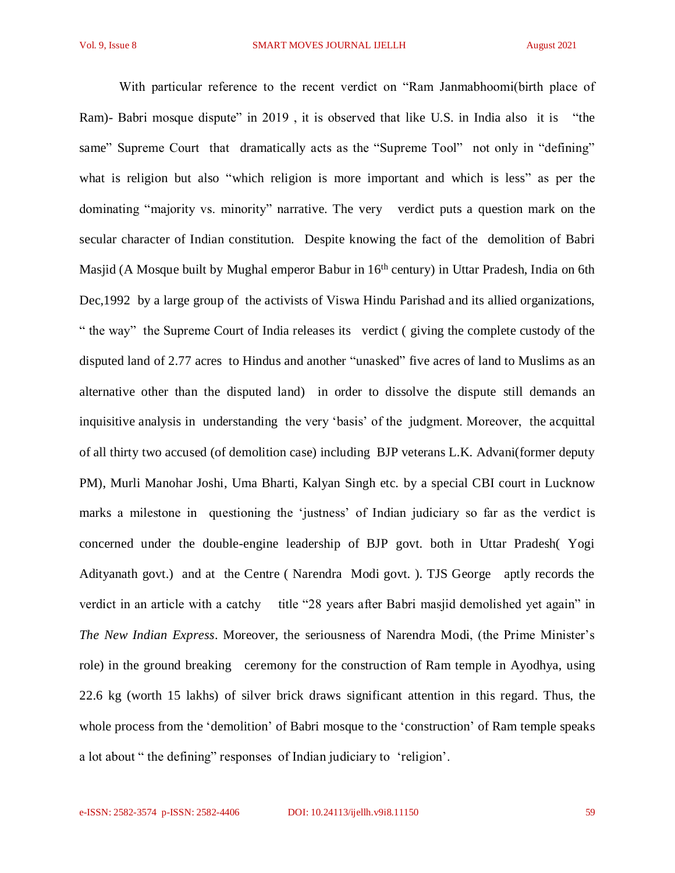With particular reference to the recent verdict on "Ram Janmabhoomi(birth place of Ram)- Babri mosque dispute" in 2019, it is observed that like U.S. in India also it is "the same" Supreme Court that dramatically acts as the "Supreme Tool" not only in "defining" what is religion but also "which religion is more important and which is less" as per the dominating "majority vs. minority" narrative. The very verdict puts a question mark on the secular character of Indian constitution. Despite knowing the fact of the demolition of Babri Masjid (A Mosque built by Mughal emperor Babur in 16<sup>th</sup> century) in Uttar Pradesh, India on 6th Dec,1992 by a large group of the activists of Viswa Hindu Parishad and its allied organizations, " the way" the Supreme Court of India releases its verdict ( giving the complete custody of the disputed land of 2.77 acres to Hindus and another "unasked" five acres of land to Muslims as an alternative other than the disputed land) in order to dissolve the dispute still demands an inquisitive analysis in understanding the very 'basis' of the judgment. Moreover, the acquittal of all thirty two accused (of demolition case) including BJP veterans L.K. Advani(former deputy PM), Murli Manohar Joshi, Uma Bharti, Kalyan Singh etc. by a special CBI court in Lucknow marks a milestone in questioning the 'justness' of Indian judiciary so far as the verdict is concerned under the double-engine leadership of BJP govt. both in Uttar Pradesh( Yogi Adityanath govt.) and at the Centre ( Narendra Modi govt. ). TJS George aptly records the verdict in an article with a catchy title "28 years after Babri masjid demolished yet again" in *The New Indian Express*. Moreover, the seriousness of Narendra Modi, (the Prime Minister's role) in the ground breaking ceremony for the construction of Ram temple in Ayodhya, using 22.6 kg (worth 15 lakhs) of silver brick draws significant attention in this regard. Thus, the whole process from the 'demolition' of Babri mosque to the 'construction' of Ram temple speaks a lot about " the defining" responses of Indian judiciary to 'religion'.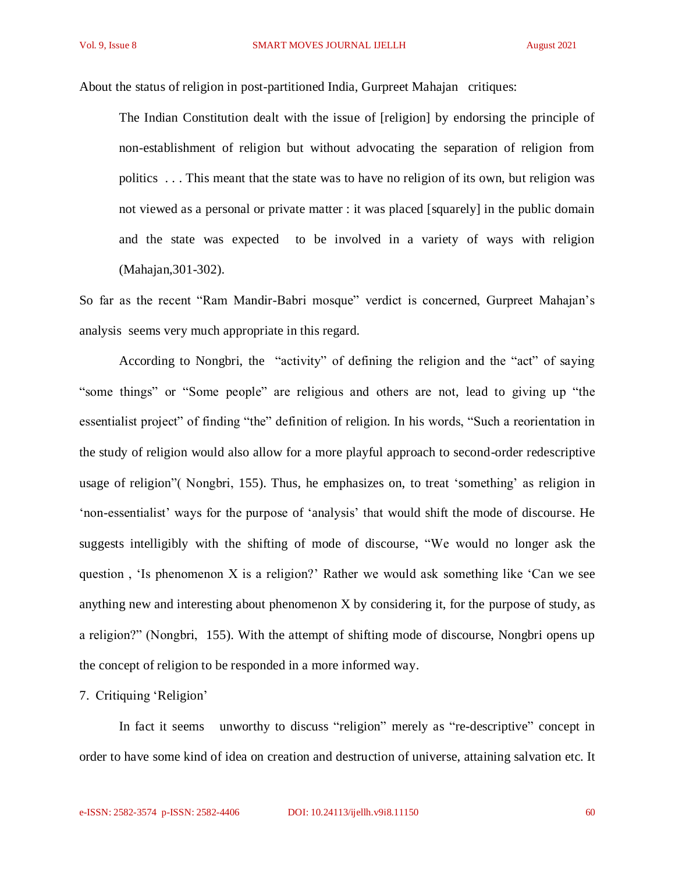About the status of religion in post-partitioned India, Gurpreet Mahajan critiques:

The Indian Constitution dealt with the issue of [religion] by endorsing the principle of non-establishment of religion but without advocating the separation of religion from politics . . . This meant that the state was to have no religion of its own, but religion was not viewed as a personal or private matter : it was placed [squarely] in the public domain and the state was expected to be involved in a variety of ways with religion (Mahajan,301-302).

So far as the recent "Ram Mandir-Babri mosque" verdict is concerned, Gurpreet Mahajan's analysis seems very much appropriate in this regard.

According to Nongbri, the "activity" of defining the religion and the "act" of saying "some things" or "Some people" are religious and others are not, lead to giving up "the essentialist project" of finding "the" definition of religion. In his words, "Such a reorientation in the study of religion would also allow for a more playful approach to second-order redescriptive usage of religion"( Nongbri, 155). Thus, he emphasizes on, to treat 'something' as religion in 'non-essentialist' ways for the purpose of 'analysis' that would shift the mode of discourse. He suggests intelligibly with the shifting of mode of discourse, "We would no longer ask the question , 'Is phenomenon X is a religion?' Rather we would ask something like 'Can we see anything new and interesting about phenomenon X by considering it, for the purpose of study, as a religion?" (Nongbri, 155). With the attempt of shifting mode of discourse, Nongbri opens up the concept of religion to be responded in a more informed way.

7. Critiquing 'Religion'

In fact it seems unworthy to discuss "religion" merely as "re-descriptive" concept in order to have some kind of idea on creation and destruction of universe, attaining salvation etc. It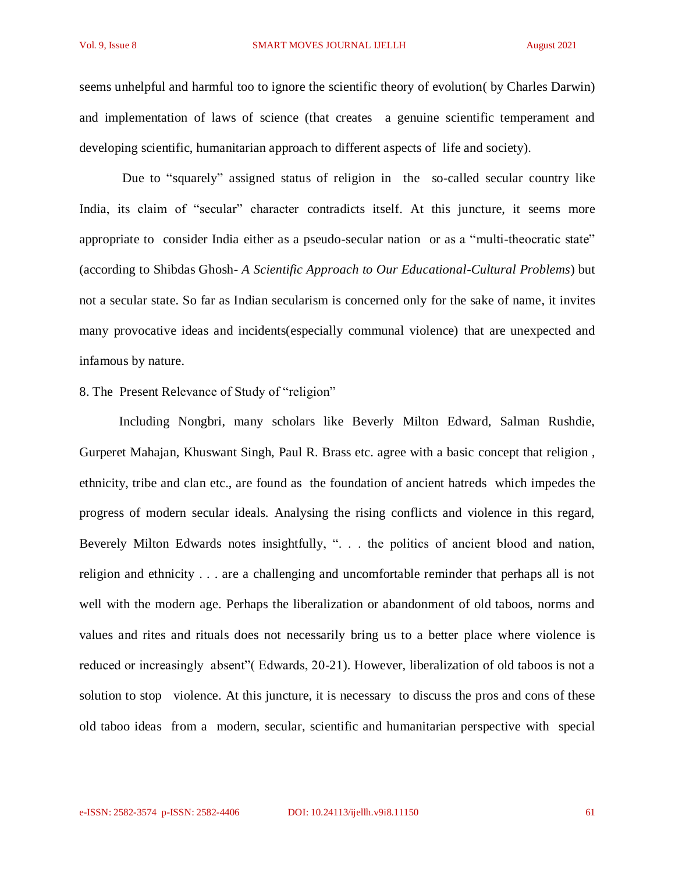seems unhelpful and harmful too to ignore the scientific theory of evolution( by Charles Darwin) and implementation of laws of science (that creates a genuine scientific temperament and developing scientific, humanitarian approach to different aspects of life and society).

Due to "squarely" assigned status of religion in the so-called secular country like India, its claim of "secular" character contradicts itself. At this juncture, it seems more appropriate to consider India either as a pseudo-secular nation or as a "multi-theocratic state" (according to Shibdas Ghosh- *A Scientific Approach to Our Educational-Cultural Problems*) but not a secular state. So far as Indian secularism is concerned only for the sake of name, it invites many provocative ideas and incidents(especially communal violence) that are unexpected and infamous by nature.

# 8. The Present Relevance of Study of "religion"

Including Nongbri, many scholars like Beverly Milton Edward, Salman Rushdie, Gurperet Mahajan, Khuswant Singh, Paul R. Brass etc. agree with a basic concept that religion , ethnicity, tribe and clan etc., are found as the foundation of ancient hatreds which impedes the progress of modern secular ideals. Analysing the rising conflicts and violence in this regard, Beverely Milton Edwards notes insightfully, ". . . the politics of ancient blood and nation, religion and ethnicity . . . are a challenging and uncomfortable reminder that perhaps all is not well with the modern age. Perhaps the liberalization or abandonment of old taboos, norms and values and rites and rituals does not necessarily bring us to a better place where violence is reduced or increasingly absent"( Edwards, 20-21). However, liberalization of old taboos is not a solution to stop violence. At this juncture, it is necessary to discuss the pros and cons of these old taboo ideas from a modern, secular, scientific and humanitarian perspective with special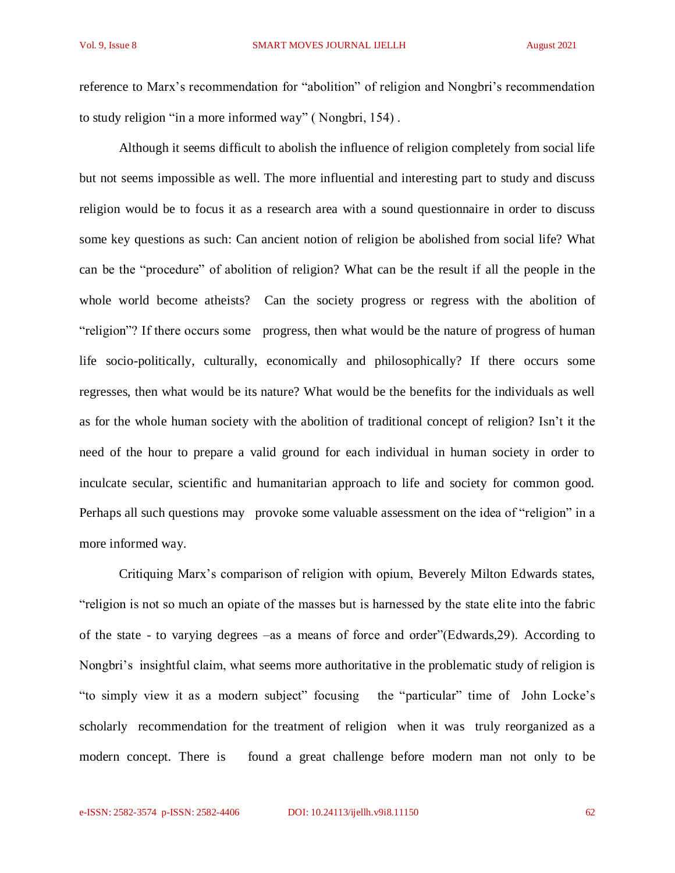reference to Marx's recommendation for "abolition" of religion and Nongbri's recommendation to study religion "in a more informed way" ( Nongbri, 154) .

Although it seems difficult to abolish the influence of religion completely from social life but not seems impossible as well. The more influential and interesting part to study and discuss religion would be to focus it as a research area with a sound questionnaire in order to discuss some key questions as such: Can ancient notion of religion be abolished from social life? What can be the "procedure" of abolition of religion? What can be the result if all the people in the whole world become atheists? Can the society progress or regress with the abolition of "religion"? If there occurs some progress, then what would be the nature of progress of human life socio-politically, culturally, economically and philosophically? If there occurs some regresses, then what would be its nature? What would be the benefits for the individuals as well as for the whole human society with the abolition of traditional concept of religion? Isn't it the need of the hour to prepare a valid ground for each individual in human society in order to inculcate secular, scientific and humanitarian approach to life and society for common good. Perhaps all such questions may provoke some valuable assessment on the idea of "religion" in a more informed way.

Critiquing Marx's comparison of religion with opium, Beverely Milton Edwards states, "religion is not so much an opiate of the masses but is harnessed by the state elite into the fabric of the state - to varying degrees –as a means of force and order"(Edwards,29). According to Nongbri's insightful claim, what seems more authoritative in the problematic study of religion is "to simply view it as a modern subject" focusing the "particular" time of John Locke's scholarly recommendation for the treatment of religion when it was truly reorganized as a modern concept. There is found a great challenge before modern man not only to be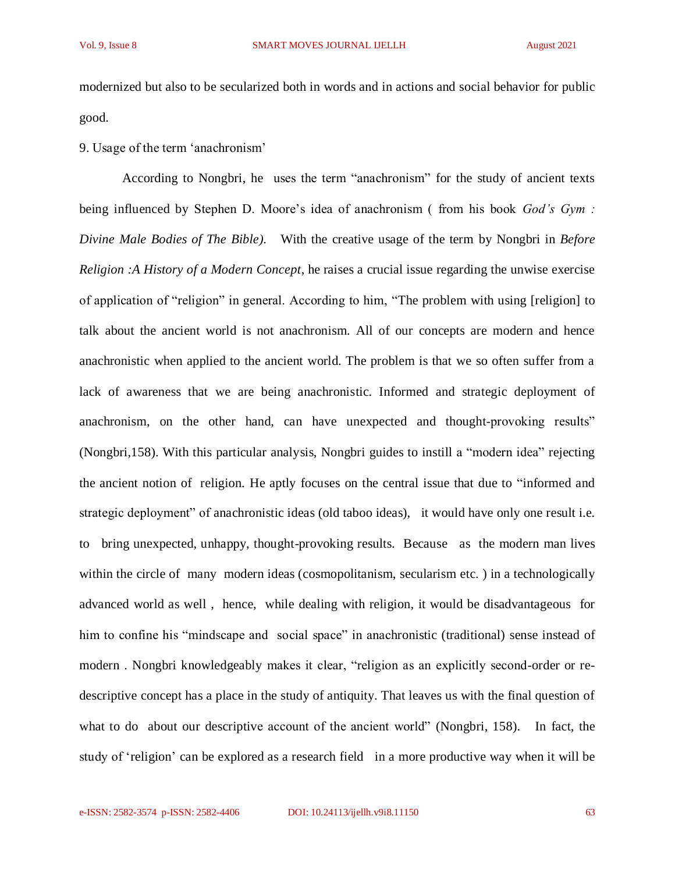modernized but also to be secularized both in words and in actions and social behavior for public good.

# 9. Usage of the term 'anachronism'

According to Nongbri, he uses the term "anachronism" for the study of ancient texts being influenced by Stephen D. Moore's idea of anachronism ( from his book *God's Gym : Divine Male Bodies of The Bible).* With the creative usage of the term by Nongbri in *Before Religion :A History of a Modern Concept*, he raises a crucial issue regarding the unwise exercise of application of "religion" in general. According to him, "The problem with using [religion] to talk about the ancient world is not anachronism. All of our concepts are modern and hence anachronistic when applied to the ancient world. The problem is that we so often suffer from a lack of awareness that we are being anachronistic. Informed and strategic deployment of anachronism, on the other hand, can have unexpected and thought-provoking results" (Nongbri,158). With this particular analysis, Nongbri guides to instill a "modern idea" rejecting the ancient notion of religion. He aptly focuses on the central issue that due to "informed and strategic deployment" of anachronistic ideas (old taboo ideas), it would have only one result i.e. to bring unexpected, unhappy, thought-provoking results. Because as the modern man lives within the circle of many modern ideas (cosmopolitanism, secularism etc.) in a technologically advanced world as well , hence, while dealing with religion, it would be disadvantageous for him to confine his "mindscape and social space" in anachronistic (traditional) sense instead of modern . Nongbri knowledgeably makes it clear, "religion as an explicitly second-order or redescriptive concept has a place in the study of antiquity. That leaves us with the final question of what to do about our descriptive account of the ancient world" (Nongbri, 158). In fact, the study of 'religion' can be explored as a research field in a more productive way when it will be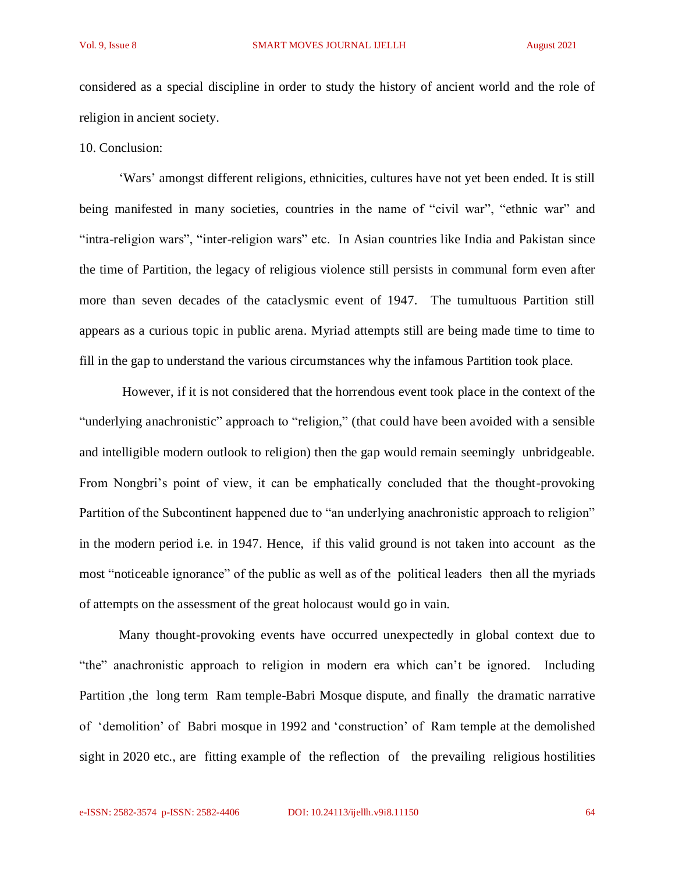considered as a special discipline in order to study the history of ancient world and the role of religion in ancient society.

10. Conclusion:

'Wars' amongst different religions, ethnicities, cultures have not yet been ended. It is still being manifested in many societies, countries in the name of "civil war", "ethnic war" and "intra-religion wars", "inter-religion wars" etc. In Asian countries like India and Pakistan since the time of Partition, the legacy of religious violence still persists in communal form even after more than seven decades of the cataclysmic event of 1947. The tumultuous Partition still appears as a curious topic in public arena. Myriad attempts still are being made time to time to fill in the gap to understand the various circumstances why the infamous Partition took place.

However, if it is not considered that the horrendous event took place in the context of the "underlying anachronistic" approach to "religion," (that could have been avoided with a sensible and intelligible modern outlook to religion) then the gap would remain seemingly unbridgeable. From Nongbri's point of view, it can be emphatically concluded that the thought-provoking Partition of the Subcontinent happened due to "an underlying anachronistic approach to religion" in the modern period i.e. in 1947. Hence, if this valid ground is not taken into account as the most "noticeable ignorance" of the public as well as of the political leaders then all the myriads of attempts on the assessment of the great holocaust would go in vain.

Many thought-provoking events have occurred unexpectedly in global context due to "the" anachronistic approach to religion in modern era which can't be ignored. Including Partition ,the long term Ram temple-Babri Mosque dispute, and finally the dramatic narrative of 'demolition' of Babri mosque in 1992 and 'construction' of Ram temple at the demolished sight in 2020 etc., are fitting example of the reflection of the prevailing religious hostilities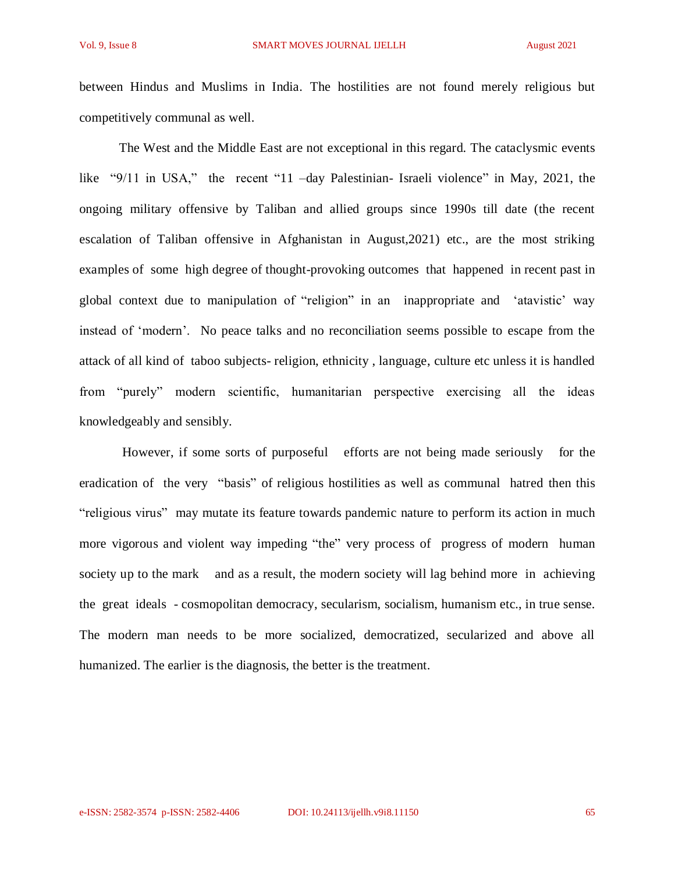between Hindus and Muslims in India. The hostilities are not found merely religious but competitively communal as well.

The West and the Middle East are not exceptional in this regard. The cataclysmic events like "9/11 in USA," the recent "11 -day Palestinian- Israeli violence" in May, 2021, the ongoing military offensive by Taliban and allied groups since 1990s till date (the recent escalation of Taliban offensive in Afghanistan in August,2021) etc., are the most striking examples of some high degree of thought-provoking outcomes that happened in recent past in global context due to manipulation of "religion" in an inappropriate and 'atavistic' way instead of 'modern'. No peace talks and no reconciliation seems possible to escape from the attack of all kind of taboo subjects- religion, ethnicity , language, culture etc unless it is handled from "purely" modern scientific, humanitarian perspective exercising all the ideas knowledgeably and sensibly.

However, if some sorts of purposeful efforts are not being made seriously for the eradication of the very "basis" of religious hostilities as well as communal hatred then this "religious virus" may mutate its feature towards pandemic nature to perform its action in much more vigorous and violent way impeding "the" very process of progress of modern human society up to the mark and as a result, the modern society will lag behind more in achieving the great ideals - cosmopolitan democracy, secularism, socialism, humanism etc., in true sense. The modern man needs to be more socialized, democratized, secularized and above all humanized. The earlier is the diagnosis, the better is the treatment.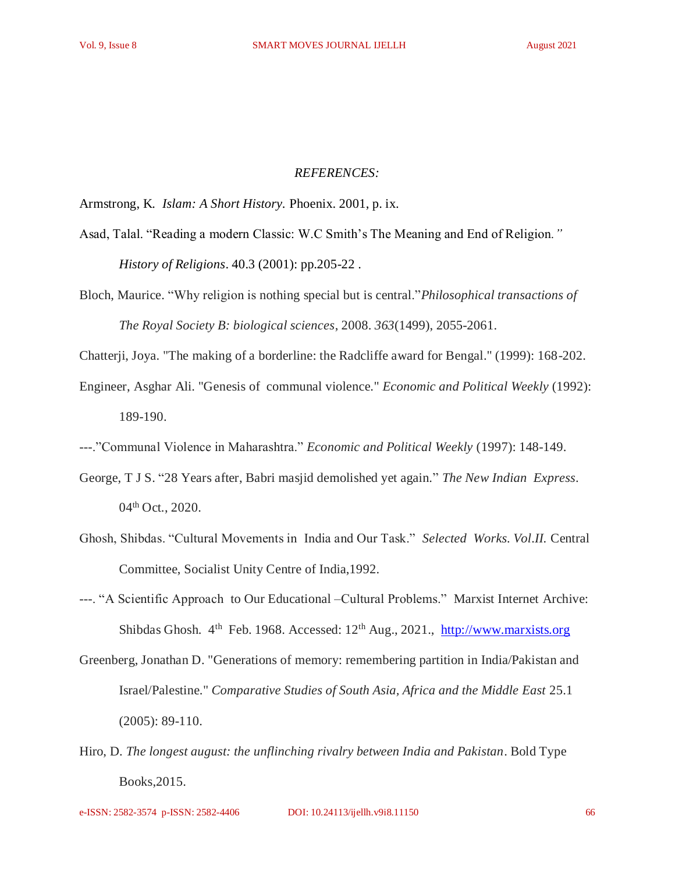#### *REFERENCES:*

Armstrong, K*. Islam: A Short History.* Phoenix. 2001, p. ix.

- Asad, Talal. "Reading a modern Classic: W.C Smith's The Meaning and End of Religion*." History of Religions*. 40.3 (2001): pp.205-22 .
- Bloch, Maurice. "Why religion is nothing special but is central."*Philosophical transactions of The Royal Society B: biological sciences*, 2008. *363*(1499), 2055-2061.

Chatterji, Joya. "The making of a borderline: the Radcliffe award for Bengal." (1999): 168-202.

- Engineer, Asghar Ali. "Genesis of communal violence." *Economic and Political Weekly* (1992): 189-190.
- ---."Communal Violence in Maharashtra." *Economic and Political Weekly* (1997): 148-149.
- George, T J S. "28 Years after, Babri masjid demolished yet again." *The New Indian Express*. 04<sup>th</sup> Oct., 2020.
- Ghosh, Shibdas. "Cultural Movements in India and Our Task." *Selected Works. Vol.II.* Central Committee, Socialist Unity Centre of India,1992.
- ---. "A Scientific Approach to Our Educational –Cultural Problems." Marxist Internet Archive: Shibdas Ghosh. 4<sup>th</sup> Feb. 1968. Accessed: 12<sup>th</sup> Aug., 2021., [http://www.marxists.org](http://www.marxists.org/)
- Greenberg, Jonathan D. "Generations of memory: remembering partition in India/Pakistan and Israel/Palestine." *Comparative Studies of South Asia, Africa and the Middle East* 25.1 (2005): 89-110.
- Hiro, D. *The longest august: the unflinching rivalry between India and Pakistan*. Bold Type Books,2015.